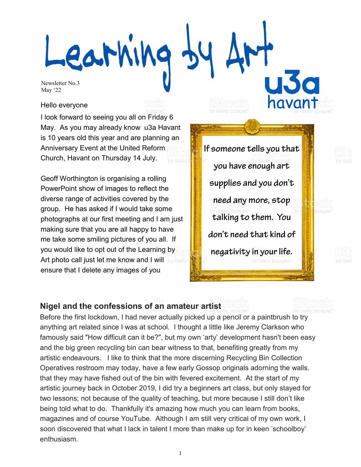-earning havant

Newsletter No.3 May '22

#### Hello everyone

I look forward to seeing you all on Friday 6 May. As you may already know u3a Havant is 10 years old this year and are planning an Anniversary Event at the United Reform Church, Havant on Thursday 14 July.

Geoff Worthington is organising a rolling PowerPoint show of images to reflect the diverse range of activities covered by the group. He has asked if I would take some photographs at our first meeting and I am just making sure that you are all happy to have me take some smiling pictures of you all. If you would like to opt out of the Learning by Art photo call just let me know and I will ensure that I delete any images of you

If someone tells you that you have enough art supplies and you don't need any more, stop talking to them. You don't need that kind of negativity in your life.

## **Nigel and the confessions of an amateur artist**

Before the first lockdown, I had never actually picked up a pencil or a paintbrush to try anything art related since I was at school. I thought a little like Jeremy Clarkson who famously said "How difficult can it be?", but my own 'arty' development hasn't been easy and the big green recycling bin can bear witness to that, benefiting greatly from my artistic endeavours. I like to think that the more discerning Recycling Bin Collection Operatives restroom may today, have a few early Gossop originals adorning the walls. that they may have fished out of the bin with fevered excitement. At the start of my artistic journey back in October 2019, I did try a beginners art class, but only stayed for two lessons; not because of the quality of teaching, but more because I still don't like being told what to do. Thankfully it's amazing how much you can learn from books, magazines and of course YouTube. Although I am still very critical of my own work, I soon discovered that what I lack in talent I more than make up for in keen 'schoolboy' enthusiasm.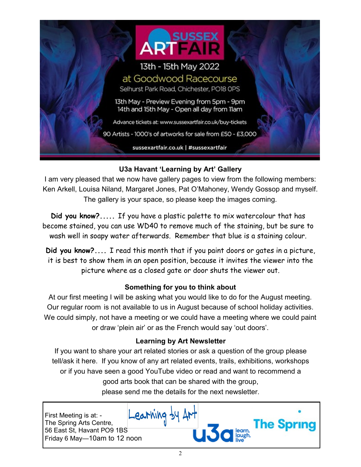

## **U3a Havant 'Learning by Art' Gallery**

I am very pleased that we now have gallery pages to view from the following members: Ken Arkell, Louisa Niland, Margaret Jones, Pat O'Mahoney, Wendy Gossop and myself. The gallery is your space, so please keep the images coming.

**Did you know?.....** If you have a plastic palette to mix watercolour that has become stained, you can use WD40 to remove much of the staining, but be sure to wash well in soapy water afterwards. Remember that blue is a staining colour.

**Did you know?....** I read this month that if you paint doors or gates in a picture, it is best to show them in an open position, because it invites the viewer into the picture where as a closed gate or door shuts the viewer out.

## **Something for you to think about**

At our first meeting I will be asking what you would like to do for the August meeting. Our regular room is not available to us in August because of school holiday activities. We could simply, not have a meeting or we could have a meeting where we could paint or draw 'plein air' or as the French would say 'out doors'.

## **Learning by Art Newsletter**

If you want to share your art related stories or ask a question of the group please tell/ask it here. If you know of any art related events, trails, exhibitions, workshops or if you have seen a good YouTube video or read and want to recommend a good arts book that can be shared with the group, please send me the details for the next newsletter.

First Meeting is at: - The Spring Arts Centre, 56 East St, Havant PO9 1BS Friday 6 May—10am to 12 noon